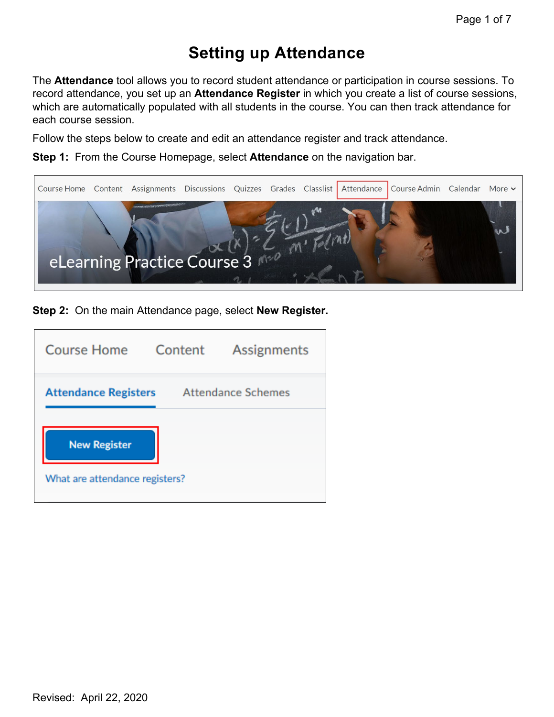# **Setting up Attendance**

The **Attendance** tool allows you to record student attendance or participation in course sessions. To record attendance, you set up an **Attendance Register** in which you create a list of course sessions, which are automatically populated with all students in the course. You can then track attendance for each course session.

Follow the steps below to create and edit an attendance register and track attendance.

**Step 1:** From the Course Homepage, select **Attendance** on the navigation bar.



**Step 2:** On the main Attendance page, select **New Register.**

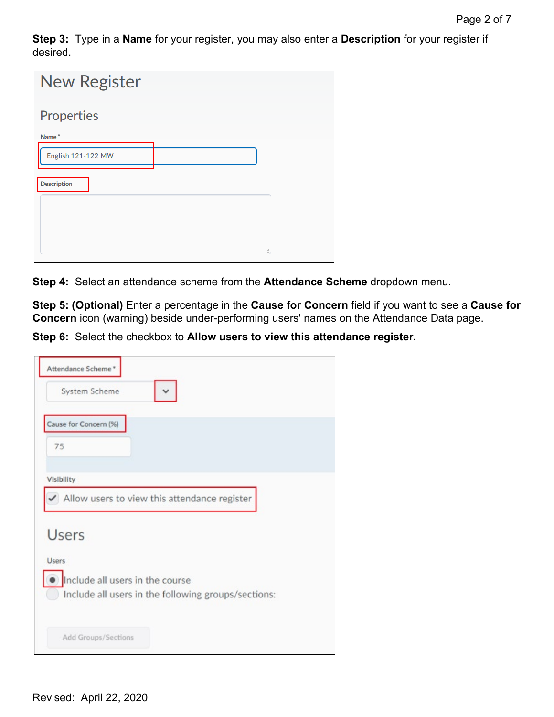**Step 3:** Type in a **Name** for your register, you may also enter a **Description** for your register if desired.

| <b>New Register</b> |     |
|---------------------|-----|
| <b>Properties</b>   |     |
| Name*               |     |
| English 121-122 MW  |     |
| <b>Description</b>  |     |
|                     |     |
|                     |     |
|                     | пÎ, |

**Step 4:** Select an attendance scheme from the **Attendance Scheme** dropdown menu.

**Step 5: (Optional)** Enter a percentage in the **Cause for Concern** field if you want to see a **Cause for Concern** icon (warning) beside under-performing users' names on the Attendance Data page.

**Step 6:** Select the checkbox to **Allow users to view this attendance register.**

| Attendance Scheme*                                                                     |
|----------------------------------------------------------------------------------------|
| System Scheme                                                                          |
| Cause for Concern (%)                                                                  |
| 75                                                                                     |
| Visibility                                                                             |
| Allow users to view this attendance register                                           |
| <b>Users</b>                                                                           |
| <b>Users</b>                                                                           |
| Include all users in the course<br>Include all users in the following groups/sections: |
| Add Groups/Sections                                                                    |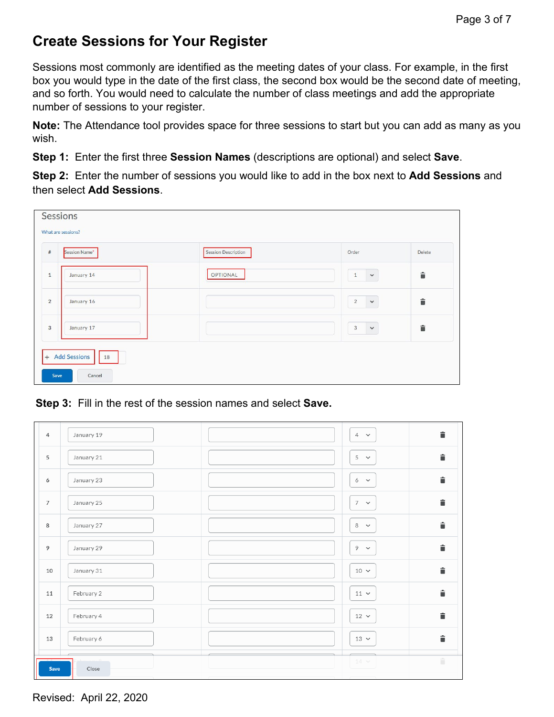### **Create Sessions for Your Register**

Sessions most commonly are identified as the meeting dates of your class. For example, in the first box you would type in the date of the first class, the second box would be the second date of meeting, and so forth. You would need to calculate the number of class meetings and add the appropriate number of sessions to your register.

**Note:** The Attendance tool provides space for three sessions to start but you can add as many as you wish.

**Step 1:** Enter the first three **Session Names** (descriptions are optional) and select **Save**.

**Step 2:** Enter the number of sessions you would like to add in the box next to **Add Sessions** and then select **Add Sessions**.

|                | Sessions<br>What are sessions? |                            |                              |        |
|----------------|--------------------------------|----------------------------|------------------------------|--------|
| $#$            | Session Name*                  | <b>Session Description</b> | Order                        | Delete |
| $\mathbf{1}$   | January 14                     | OPTIONAL                   | $\checkmark$<br>$\mathbf{1}$ | û      |
| $\overline{2}$ | January 16                     |                            | $\sqrt{2}$<br>$\checkmark$   | û      |
| 3              | January 17                     |                            | $\mathbf{3}$<br>$\checkmark$ | û      |
| Save           | + Add Sessions<br>18<br>Cancel |                            |                              |        |

**Step 3:** Fill in the rest of the session names and select **Save.** 

| $\overline{4}$ | January 19 | û<br>$4 - \times$  |
|----------------|------------|--------------------|
| 5              | January 21 | 貪<br>$5 - \sim$    |
| 6              | January 23 | î<br>$6 \times$    |
| $\overline{7}$ | January 25 | û<br>$7 - 4$       |
| 8              | January 27 | û<br>$8 - 8$       |
| 9              | January 29 | û<br>$9 - \times$  |
| 10             | January 31 | û<br>$10 \sim$     |
| 11             | February 2 | û<br>$11 -$        |
| 12             | February 4 | î<br>$12 \times$   |
| 13             | February 6 | î<br>$13 \times$   |
| Save           | Close      | û<br>$14\,$ $\sim$ |

Revised: April 22, 2020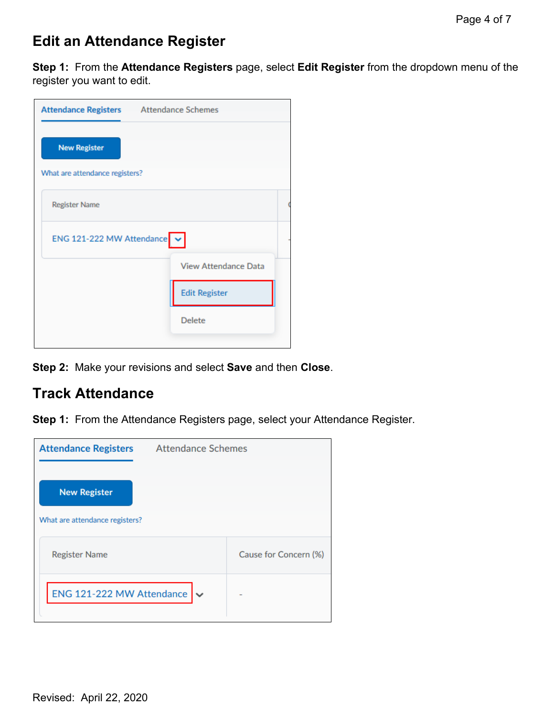### **Edit an Attendance Register**

**Step 1:** From the **Attendance Registers** page, select **Edit Register** from the dropdown menu of the register you want to edit.

| Attendance Registers Attendance Schemes   |                             |  |
|-------------------------------------------|-----------------------------|--|
| <b>New Register</b>                       |                             |  |
| What are attendance registers?            |                             |  |
| <b>Register Name</b>                      |                             |  |
| ENG 121-222 MW Attendance $\triangledown$ |                             |  |
|                                           | <b>View Attendance Data</b> |  |
|                                           | <b>Edit Register</b>        |  |
|                                           | <b>Delete</b>               |  |
|                                           |                             |  |

**Step 2:** Make your revisions and select **Save** and then **Close**.

### **Track Attendance**

**Step 1:** From the Attendance Registers page, select your Attendance Register.

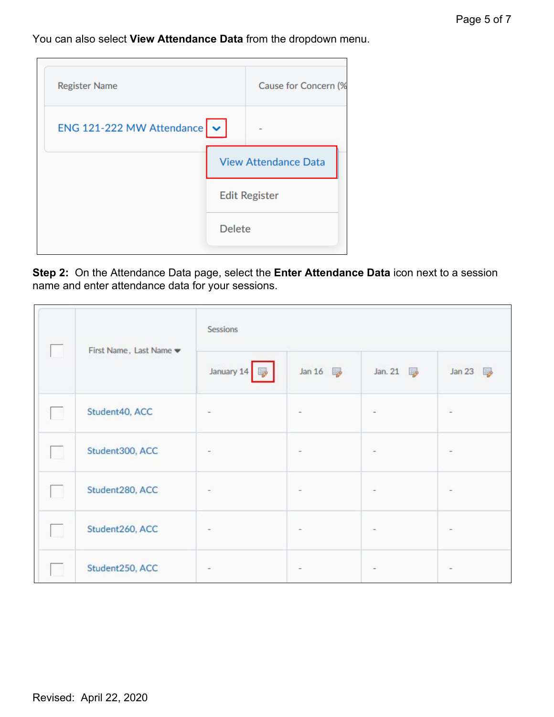#### You can also select **View Attendance Data** from the dropdown menu.

| <b>Register Name</b>                      |               | Cause for Concern (%        |
|-------------------------------------------|---------------|-----------------------------|
| ENG 121-222 MW Attendance $\triangledown$ |               |                             |
|                                           |               | <b>View Attendance Data</b> |
|                                           |               | <b>Edit Register</b>        |
|                                           | <b>Delete</b> |                             |
|                                           |               |                             |

**Step 2:** On the Attendance Data page, select the **Enter Attendance Data** icon next to a session name and enter attendance data for your sessions.

|        |                                            | Sessions   |        |         |        |
|--------|--------------------------------------------|------------|--------|---------|--------|
|        | First Name, Last Name $\blacktriangledown$ | January 14 | Jan 16 | Jan. 21 | Jan 23 |
|        | Student40, ACC                             |            |        |         |        |
| L.     | Student300, ACC                            |            |        |         |        |
| - m    | Student280, ACC                            | ۰          |        |         |        |
| $\sim$ | Student260, ACC                            |            |        |         |        |
|        | Student250, ACC                            |            |        |         |        |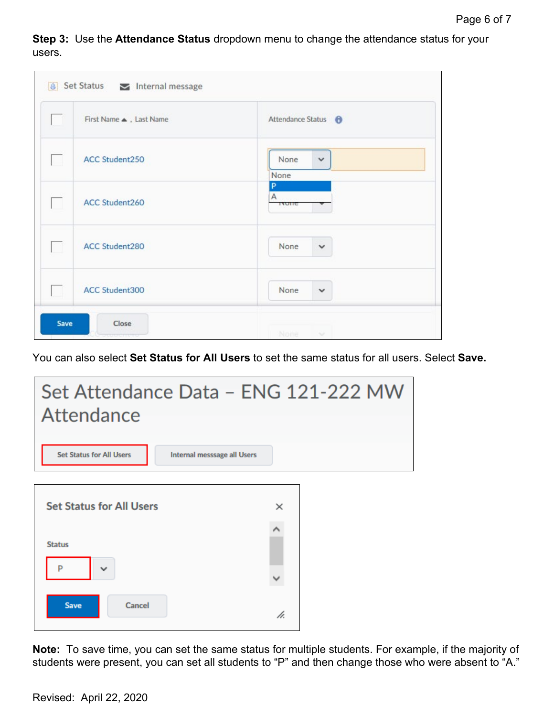**Step 3:** Use the **Attendance Status** dropdown menu to change the attendance status for your users.

|   | First Name . Last Name | Attendance Status <b>O</b>   |
|---|------------------------|------------------------------|
|   | ACC Student250         | None<br>$\checkmark$<br>None |
|   | ACC Student260         | P<br>A<br><b>IANIE</b>       |
| m | <b>ACC Student280</b>  | None<br>$\checkmark$         |
|   | ACC Student300         | None<br>$\checkmark$         |

You can also select **Set Status for All Users** to set the same status for all users. Select **Save.** 



**Note:** To save time, you can set the same status for multiple students. For example, if the majority of students were present, you can set all students to "P" and then change those who were absent to "A."

Revised: April 22, 2020